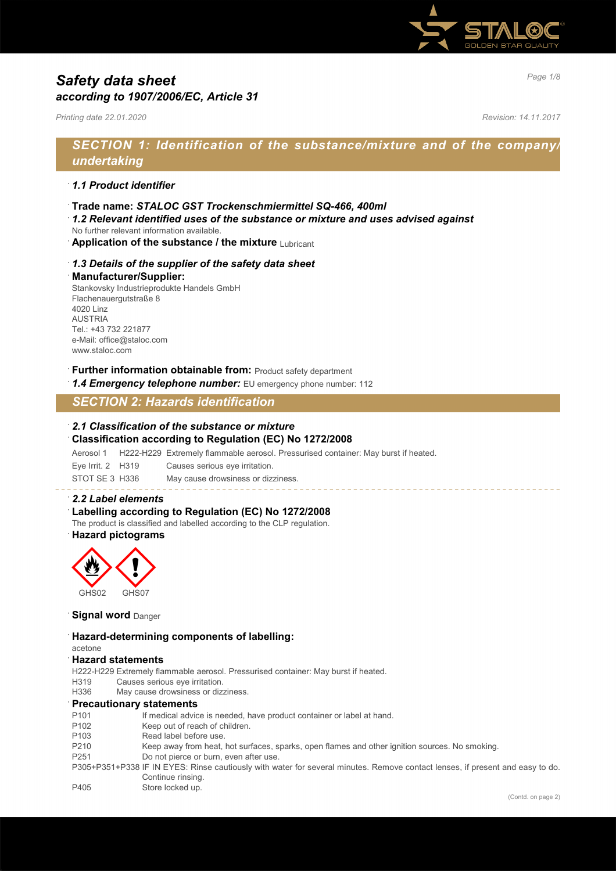

# *Page 1/8 Safety data sheet according to 1907/2006/EC, Article 31*

*Printing date 22.01.2020 Revision: 14.11.2017*

# *SECTION 1: Identification of the substance/mixture and of the company/ undertaking*

## · *1.1 Product identifier*

- · **Trade name:** *STALOC GST Trockenschmiermittel SQ-466, 400ml*
- · *1.2 Relevant identified uses of the substance or mixture and uses advised against*
- No further relevant information available.
- **Application of the substance / the mixture Lubricant**

## · *1.3 Details of the supplier of the safety data sheet*

#### · **Manufacturer/Supplier:**

Stankovsky Industrieprodukte Handels GmbH Flachenauergutstraße 8 4020 Linz AUSTRIA Tel.: +43 732 221877 e-Mail: office@staloc.com www.staloc.com

## **Further information obtainable from:** Product safety department

1.4 **Emergency telephone number:** EU emergency phone number: 112

## *SECTION 2: Hazards identification*

#### · *2.1 Classification of the substance or mixture*

#### · **Classification according to Regulation (EC) No 1272/2008**

Aerosol 1 H222-H229 Extremely flammable aerosol. Pressurised container: May burst if heated.

Eye Irrit. 2 H319 Causes serious eye irritation.

STOT SE 3 H336 May cause drowsiness or dizziness.

#### · *2.2 Label elements*

### Labelling according to Regulation (EC) No 1272/2008

The product is classified and labelled according to the CLP regulation.

## · **Hazard pictograms**



### **Signal word** Danger

#### · **Hazard-determining components of labelling:**

#### acetone · **Hazard statements**

H222-H229 Extremely flammable aerosol. Pressurised container: May burst if heated.

H319 Causes serious eye irritation.

H336 May cause drowsiness or dizziness.

#### · **Precautionary statements**

- P101 If medical advice is needed, have product container or label at hand.
- P102 Keep out of reach of children.<br>P103 Read label before use.
- Read label before use.
- P210 Keep away from heat, hot surfaces, sparks, open flames and other ignition sources. No smoking.
- P251 Do not pierce or burn, even after use.
- P305+P351+P338 IF IN EYES: Rinse cautiously with water for several minutes. Remove contact lenses, if present and easy to do. Continue rinsing.
- P405 Store locked up.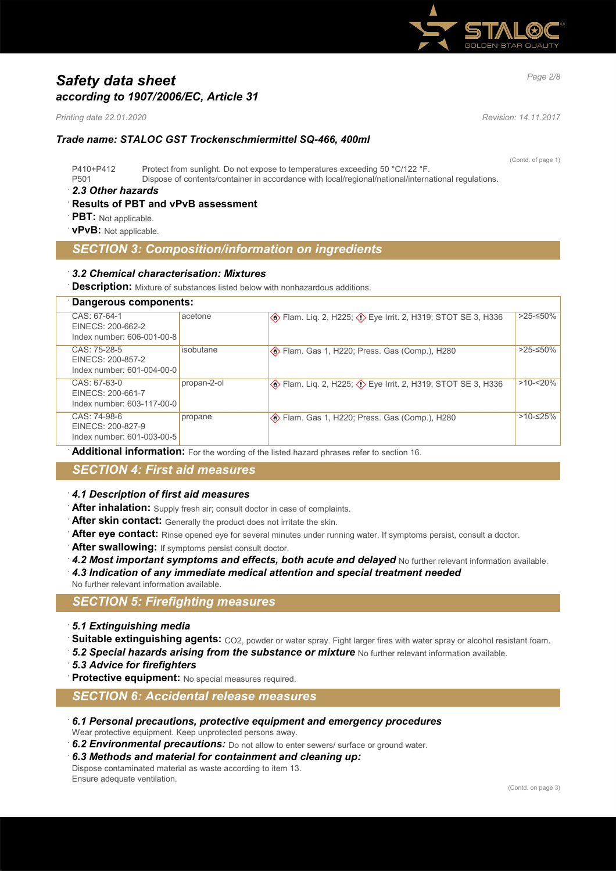

# *Page 2/8 Safety data sheet according to 1907/2006/EC, Article 31*

*Printing date 22.01.2020 Revision: 14.11.2017*

## *Trade name: STALOC GST Trockenschmiermittel SQ-466, 400ml*

(Contd. of page 1) P410+P412 Protect from sunlight. Do not expose to temperatures exceeding 50 °C/122 °F. P501 Dispose of contents/container in accordance with local/regional/national/international regulations.

### · *2.3 Other hazards*

## · **Results of PBT and vPvB assessment**

- **PBT:** Not applicable.
- · **vPvB:** Not applicable.

## *SECTION 3: Composition/information on ingredients*

## · *3.2 Chemical characterisation: Mixtures*

**Description:** Mixture of substances listed below with nonhazardous additions.

| Dangerous components:                                           |             |                                                              |             |  |
|-----------------------------------------------------------------|-------------|--------------------------------------------------------------|-------------|--|
| CAS: 67-64-1<br>EINECS: 200-662-2<br>Index number: 606-001-00-8 | acetone     | Exploration STOT SE 3, H336 (∴1) Exploration STOT SE 3, H336 | >25-≤50%    |  |
| CAS: 75-28-5<br>EINECS: 200-857-2<br>Index number: 601-004-00-0 | isobutane   | <b>Example 3 Fram.</b> Gas 1, H220; Press. Gas (Comp.), H280 | >25-≤50%    |  |
| CAS: 67-63-0<br>EINECS: 200-661-7<br>Index number: 603-117-00-0 | propan-2-ol | Exploration STOT SE 3, H336 (∴1) Exploration STOT SE 3, H336 | $>10 - 20%$ |  |
| CAS: 74-98-6<br>EINECS: 200-827-9<br>Index number: 601-003-00-5 | propane     | <b>Example 3 Fram.</b> Gas 1, H220; Press. Gas (Comp.), H280 | $>10-525%$  |  |
|                                                                 |             |                                                              |             |  |

Additional information: For the wording of the listed hazard phrases refer to section 16.

## *SECTION 4: First aid measures*

## · *4.1 Description of first aid measures*

- After inhalation: Supply fresh air; consult doctor in case of complaints.
- After skin contact: Generally the product does not irritate the skin.
- After eye contact: Rinse opened eye for several minutes under running water. If symptoms persist, consult a doctor.
- After swallowing: If symptoms persist consult doctor.
- 4.2 Most important symptoms and effects, both acute and delayed No further relevant information available.
- · *4.3 Indication of any immediate medical attention and special treatment needed*
- No further relevant information available.

## *SECTION 5: Firefighting measures*

- · *5.1 Extinguishing media*
- Suitable extinguishing agents: CO2, powder or water spray. Fight larger fires with water spray or alcohol resistant foam.
- 5.2 Special hazards arising from the substance or mixture No further relevant information available.
- · *5.3 Advice for firefighters*
- **Protective equipment:** No special measures required.

## *SECTION 6: Accidental release measures*

· *6.1 Personal precautions, protective equipment and emergency procedures*

Wear protective equipment. Keep unprotected persons away.

- · *6.2 Environmental precautions:* Do not allow to enter sewers/ surface or ground water.
- · *6.3 Methods and material for containment and cleaning up:*
- Dispose contaminated material as waste according to item 13. Ensure adequate ventilation.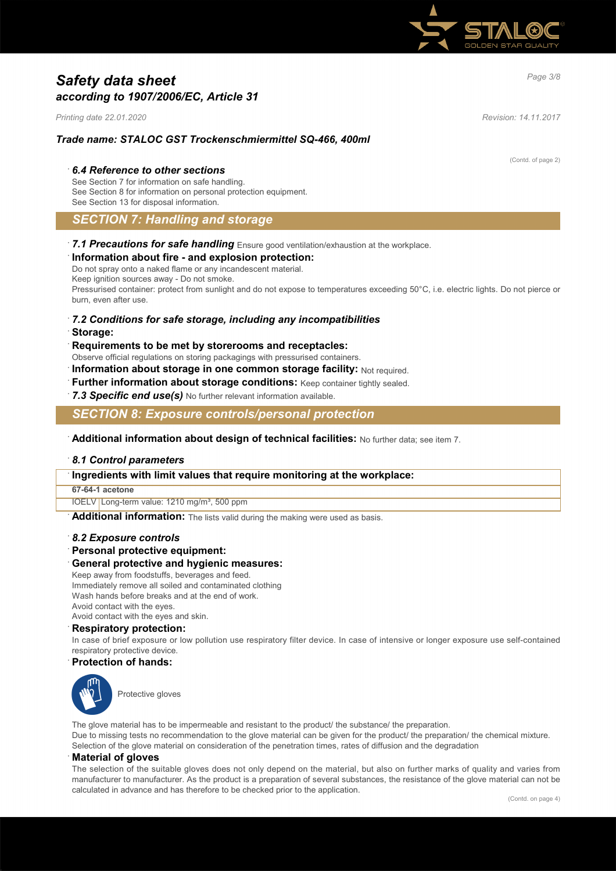

# *Page 3/8 Safety data sheet according to 1907/2006/EC, Article 31*

*Printing date 22.01.2020 Revision: 14.11.2017*

(Contd. of page 2)

## *Trade name: STALOC GST Trockenschmiermittel SQ-466, 400ml*

### · *6.4 Reference to other sections*

See Section 7 for information on safe handling. See Section 8 for information on personal protection equipment. See Section 13 for disposal information.

## *SECTION 7: Handling and storage*

· *7.1 Precautions for safe handling* Ensure good ventilation/exhaustion at the workplace.

## · **Information about fire - and explosion protection:**

Do not spray onto a naked flame or any incandescent material. Keep ignition sources away - Do not smoke. Pressurised container: protect from sunlight and do not expose to temperatures exceeding 50°C, i.e. electric lights. Do not pierce or burn, even after use.

## · *7.2 Conditions for safe storage, including any incompatibilities*

· **Storage:**

### · **Requirements to be met by storerooms and receptacles:**

Observe official regulations on storing packagings with pressurised containers.

**Information about storage in one common storage facility: Not required.** 

- **Further information about storage conditions:** Keep container tightly sealed.
- · *7.3 Specific end use(s)* No further relevant information available.

*SECTION 8: Exposure controls/personal protection*

· **Additional information about design of technical facilities:** No further data; see item 7.

#### · *8.1 Control parameters*

#### · **Ingredients with limit values that require monitoring at the workplace:**

#### **67-64-1 acetone**

IOELV Long-term value: 1210 mg/m<sup>3</sup>, 500 ppm

**Additional information:** The lists valid during the making were used as basis.

#### · *8.2 Exposure controls*

· **Personal protective equipment:**

#### · **General protective and hygienic measures:**

Keep away from foodstuffs, beverages and feed. Immediately remove all soiled and contaminated clothing Wash hands before breaks and at the end of work. Avoid contact with the eyes. Avoid contact with the eyes and skin.

#### · **Respiratory protection:**

In case of brief exposure or low pollution use respiratory filter device. In case of intensive or longer exposure use self-contained respiratory protective device.

### · **Protection of hands:**



Protective gloves

The glove material has to be impermeable and resistant to the product/ the substance/ the preparation. Due to missing tests no recommendation to the glove material can be given for the product/ the preparation/ the chemical mixture.

Selection of the glove material on consideration of the penetration times, rates of diffusion and the degradation

#### · **Material of gloves**

The selection of the suitable gloves does not only depend on the material, but also on further marks of quality and varies from manufacturer to manufacturer. As the product is a preparation of several substances, the resistance of the glove material can not be calculated in advance and has therefore to be checked prior to the application.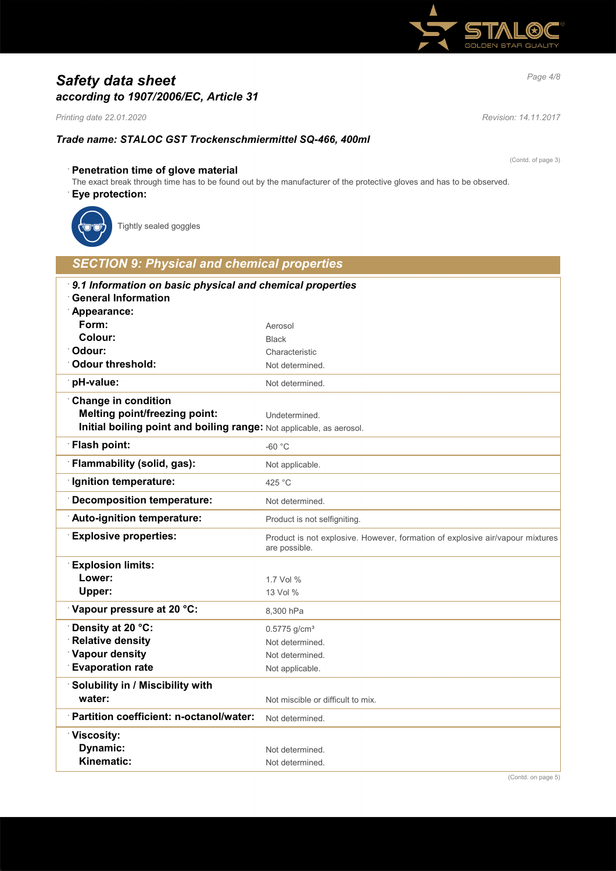

# *Page 4/8 Safety data sheet according to 1907/2006/EC, Article 31*

*Printing date 22.01.2020 Revision: 14.11.2017*

## *Trade name: STALOC GST Trockenschmiermittel SQ-466, 400ml*

(Contd. of page 3)

## · **Penetration time of glove material**

The exact break through time has to be found out by the manufacturer of the protective gloves and has to be observed.

## · **Eye protection:**



Tightly sealed goggles

# *SECTION 9: Physical and chemical properties* · *9.1 Information on basic physical and chemical properties* · **General Information** · **Appearance:** Form: Aerosol **Colour:** Black · **Odour:** Characteristic **Odour threshold:** Not determined. **pH-value:** Not determined. · **Change in condition Melting point/freezing point:** Undetermined. **Initial boiling point and boiling range:** Not applicable, as aerosol. **Flash point:**  $-60^{\circ}$ C **Flammability (solid, gas):** Not applicable. **Ignition temperature:** 425 °C **Decomposition temperature:** Not determined. **Auto-ignition temperature:** Product is not selfigniting. **Explosive properties:** Product is not explosive. However, formation of explosive air/vapour mixtures are possible. · **Explosion limits: Lower:** 1.7 Vol % **Upper:** 13 Vol % **Vapour pressure at 20 °C:** 8,300 hPa **Density at 20 °C:** 0.5775 g/cm<sup>3</sup> **Relative density Not determined. Vapour density** Not determined. **Evaporation rate** Not applicable. · **Solubility in / Miscibility with water:**  $\blacksquare$  Not miscible or difficult to mix. **Partition coefficient: n-octanol/water:** Not determined. · **Viscosity: Dynamic:** Not determined. **Kinematic:** Not determined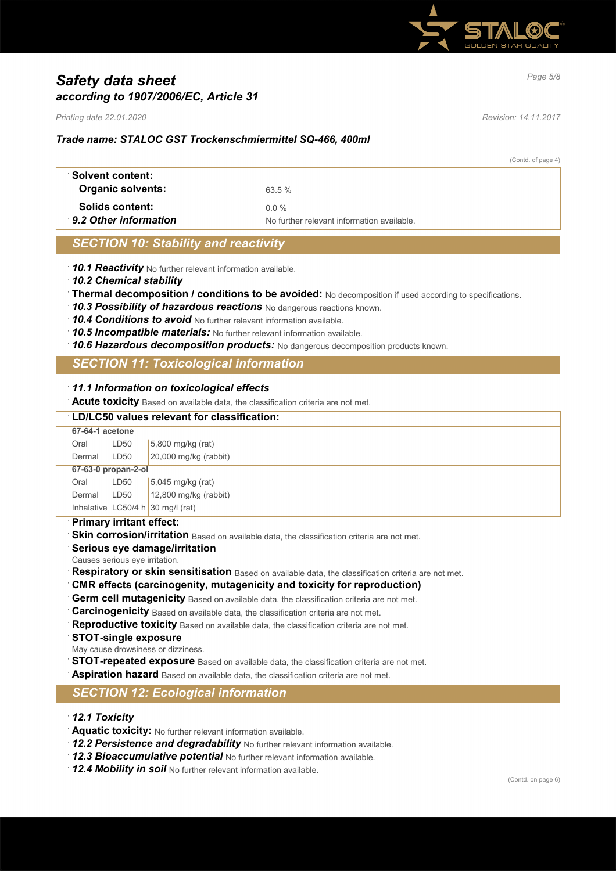

# *Page 5/8 Safety data sheet according to 1907/2006/EC, Article 31*

*Printing date 22.01.2020 Revision: 14.11.2017*

## *Trade name: STALOC GST Trockenschmiermittel SQ-466, 400ml*

(Contd. of page 4)

| ∵Solvent content:<br><b>Organic solvents:</b>   | 63.5%                                                 |  |
|-------------------------------------------------|-------------------------------------------------------|--|
| <b>Solids content:</b><br>9.2 Other information | $0.0\%$<br>No further relevant information available. |  |

## *SECTION 10: Stability and reactivity*

- · *10.1 Reactivity* No further relevant information available.
- · *10.2 Chemical stability*
- · **Thermal decomposition / conditions to be avoided:** No decomposition if used according to specifications.
- · *10.3 Possibility of hazardous reactions* No dangerous reactions known.
- · *10.4 Conditions to avoid* No further relevant information available.
- · *10.5 Incompatible materials:* No further relevant information available.
- · *10.6 Hazardous decomposition products:* No dangerous decomposition products known.

## *SECTION 11: Toxicological information*

#### · *11.1 Information on toxicological effects*

· **Acute toxicity** Based on available data, the classification criteria are not met.

| LD/LC50 values relevant for classification: |                  |                                   |  |  |
|---------------------------------------------|------------------|-----------------------------------|--|--|
| 67-64-1 acetone                             |                  |                                   |  |  |
| Oral                                        | LD <sub>50</sub> | $5,800$ mg/kg (rat)               |  |  |
| Dermal                                      | LD50             | 20,000 mg/kg (rabbit)             |  |  |
| 67-63-0 propan-2-ol                         |                  |                                   |  |  |
| Oral                                        | LD50             | $5,045$ mg/kg (rat)               |  |  |
| Dermal                                      | LD50             | 12,800 mg/kg (rabbit)             |  |  |
|                                             |                  | Inhalative LC50/4 h 30 mg/l (rat) |  |  |
|                                             |                  |                                   |  |  |

#### · **Primary irritant effect:**

- Skin corrosion/irritation Based on available data, the classification criteria are not met.
- · **Serious eye damage/irritation**
- Causes serious eye irritation.
- **Respiratory or skin sensitisation** Based on available data, the classification criteria are not met.
- · **CMR effects (carcinogenity, mutagenicity and toxicity for reproduction)**
- Germ cell mutagenicity Based on available data, the classification criteria are not met.
- **Carcinogenicity** Based on available data, the classification criteria are not met.
- Reproductive toxicity Based on available data, the classification criteria are not met.
- · **STOT-single exposure**
- May cause drowsiness or dizziness.
- **STOT-repeated exposure** Based on available data, the classification criteria are not met.
- Aspiration hazard Based on available data, the classification criteria are not met.

## *SECTION 12: Ecological information*

## · *12.1 Toxicity*

- · **Aquatic toxicity:** No further relevant information available.
- · *12.2 Persistence and degradability* No further relevant information available.
- · *12.3 Bioaccumulative potential* No further relevant information available.
- · *12.4 Mobility in soil* No further relevant information available.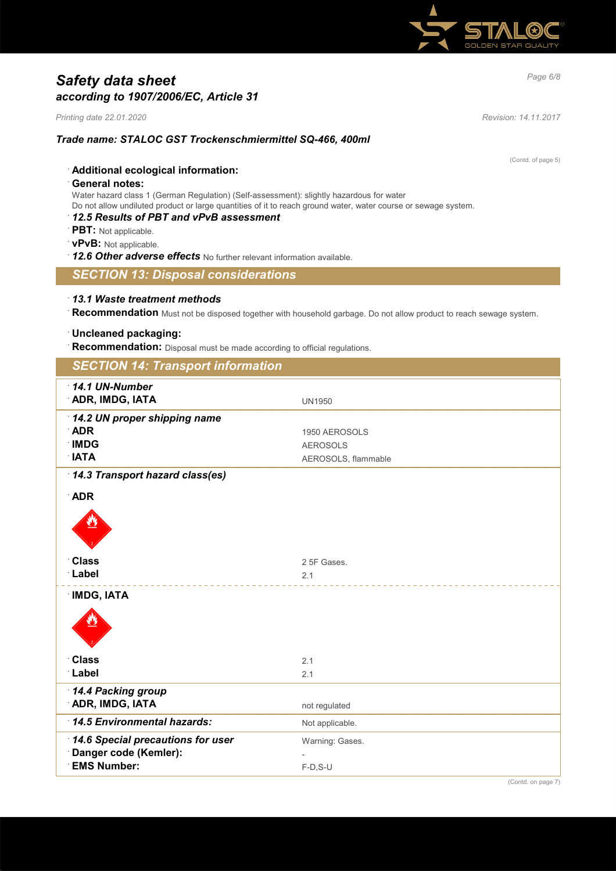

# *Page 6/8 Safety data sheet according to 1907/2006/EC, Article 31*

*Printing date 22.01.2020 Revision: 14.11.2017*

## *Trade name: STALOC GST Trockenschmiermittel SQ-466, 400ml*

(Contd. of page 5)

## · **Additional ecological information:**

## · **General notes:**

Water hazard class 1 (German Regulation) (Self-assessment): slightly hazardous for water

Do not allow undiluted product or large quantities of it to reach ground water, water course or sewage system.

# · *12.5 Results of PBT and vPvB assessment*

- · **PBT:** Not applicable.
- · **vPvB:** Not applicable.
- · *12.6 Other adverse effects* No further relevant information available.

## *SECTION 13: Disposal considerations*

## · *13.1 Waste treatment methods*

· **Recommendation** Must not be disposed together with household garbage. Do not allow product to reach sewage system.

## · **Uncleaned packaging:**

**Recommendation:** Disposal must be made according to official regulations.

| <b>SECTION 14: Transport information</b> |                     |  |  |  |
|------------------------------------------|---------------------|--|--|--|
| 14.1 UN-Number                           |                     |  |  |  |
| <b>ADR, IMDG, IATA</b>                   | <b>UN1950</b>       |  |  |  |
| 14.2 UN proper shipping name             |                     |  |  |  |
| <b>ADR</b>                               | 1950 AEROSOLS       |  |  |  |
| <b>IMDG</b>                              | <b>AEROSOLS</b>     |  |  |  |
| <b>NTA</b>                               | AEROSOLS, flammable |  |  |  |
| 14.3 Transport hazard class(es)          |                     |  |  |  |
| <b>ADR</b>                               |                     |  |  |  |
|                                          |                     |  |  |  |
|                                          |                     |  |  |  |
|                                          |                     |  |  |  |
| <b>Class</b>                             | 2 5F Gases.         |  |  |  |
| Label                                    | 2.1                 |  |  |  |
|                                          |                     |  |  |  |
| <b>IMDG, IATA</b>                        |                     |  |  |  |
|                                          |                     |  |  |  |
|                                          |                     |  |  |  |
|                                          |                     |  |  |  |
| <b>Class</b>                             | 2.1                 |  |  |  |
| Label                                    | 2.1                 |  |  |  |
| 14.4 Packing group                       |                     |  |  |  |
| <b>ADR, IMDG, IATA</b>                   | not regulated       |  |  |  |
| 14.5 Environmental hazards:              |                     |  |  |  |
|                                          | Not applicable.     |  |  |  |
| 14.6 Special precautions for user        | Warning: Gases.     |  |  |  |
| Danger code (Kemler):                    |                     |  |  |  |
| <b>EMS Number:</b>                       | $F-D, S-U$          |  |  |  |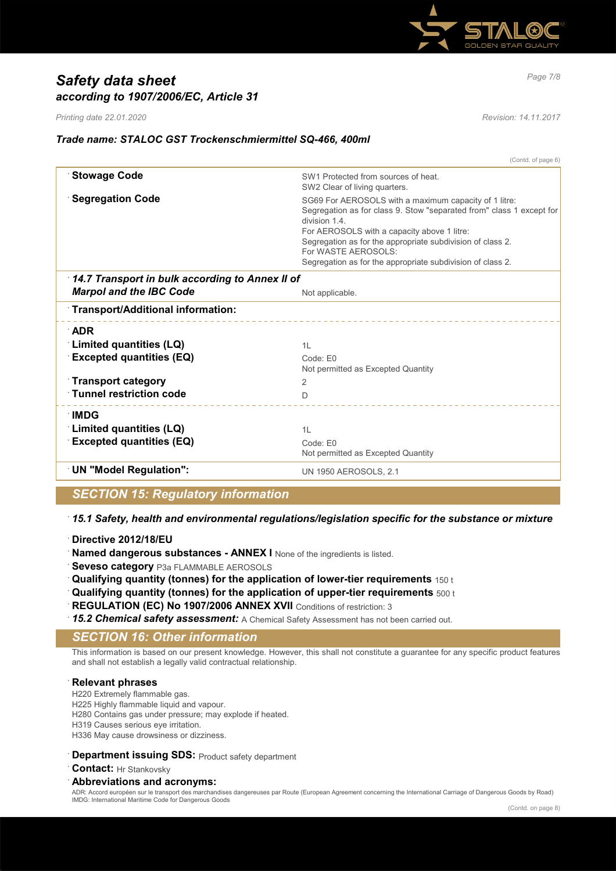

# *Page 7/8 Safety data sheet according to 1907/2006/EC, Article 31*

*Printing date 22.01.2020 Revision: 14.11.2017*

## *Trade name: STALOC GST Trockenschmiermittel SQ-466, 400ml*

(Contd. of page 6) **Stowage Code** SW1 Protected from sources of heat. SW2 Clear of living quarters. **Segregation Code** SG69 For AEROSOLS with a maximum capacity of 1 litre: Segregation as for class 9. Stow "separated from" class 1 except for division 1.4. For AEROSOLS with a capacity above 1 litre: Segregation as for the appropriate subdivision of class 2. For WASTE AEROSOLS: Segregation as for the appropriate subdivision of class 2. · *14.7 Transport in bulk according to Annex II of Marpol and the IBC Code* Not applicable. · **Transport/Additional information:** · **ADR Example 2 Limited quantities (LQ)** 1L 2L **Excepted quantities (EQ)** Code: E0 Not permitted as Excepted Quantity · **Transport category** 2 **Tunnel restriction code** D · **IMDG Example 2 Initial distribution in the U.S. 12 Initial distribution in the 1L in the 1L in the 1L in the 1L in the 1L Excepted quantities (EQ)** Code: E0 Not permitted as Excepted Quantity **UN "Model Regulation":** UN 1950 AEROSOLS, 2.1

## *SECTION 15: Regulatory information*

· *15.1 Safety, health and environmental regulations/legislation specific for the substance or mixture*

- · **Directive 2012/18/EU**
- · **Named dangerous substances ANNEX I** None of the ingredients is listed.
- **Seveso category** P3a FLAMMABLE AEROSOLS
- · **Qualifying quantity (tonnes) for the application of lower-tier requirements** 150 t
- · **Qualifying quantity (tonnes) for the application of upper-tier requirements** 500 t
- **REGULATION (EC) No 1907/2006 ANNEX XVII** Conditions of restriction: 3
- · *15.2 Chemical safety assessment:* A Chemical Safety Assessment has not been carried out.

## *SECTION 16: Other information*

This information is based on our present knowledge. However, this shall not constitute a guarantee for any specific product features and shall not establish a legally valid contractual relationship.

## · **Relevant phrases**

- H220 Extremely flammable gas.
- H225 Highly flammable liquid and vapour.
- H280 Contains gas under pressure; may explode if heated.
- H319 Causes serious eye irritation.
- H336 May cause drowsiness or dizziness.

## **Department issuing SDS: Product safety department**

· **Contact:** Hr Stankovsky

## · **Abbreviations and acronyms:**

ADR: Accord européen sur le transport des marchandises dangereuses par Route (European Agreement concerning the International Carriage of Dangerous Goods by Road) IMDG: International Maritime Code for Dangerous Goods